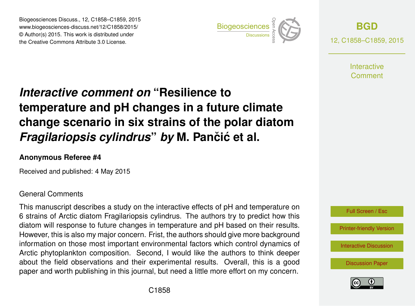Biogeosciences Discuss., 12, C1858–C1859, 2015 www.biogeosciences-discuss.net/12/C1858/2015/ © Author(s) 2015. This work is distributed under Biogeosciences Discuss., 12, C1858–C1859, 2015<br>
www.biogeosciences-discuss.net/12/C1858/2015/<br>
© Author(s) 2015. This work is distributed under<br>
the Creative Commons Attribute 3.0 License.



**[BGD](http://www.biogeosciences-discuss.net)** 12, C1858–C1859, 2015

> **Interactive** Comment

## *Interactive comment on* **"Resilience to temperature and pH changes in a future climate change scenario in six strains of the polar diatom** *Fragilariopsis cylindrus by* M. Pančić et al.

## **Anonymous Referee #4**

Received and published: 4 May 2015

## General Comments

This manuscript describes a study on the interactive effects of pH and temperature on 6 strains of Arctic diatom Fragilariopsis cylindrus. The authors try to predict how this diatom will response to future changes in temperature and pH based on their results. However, this is also my major concern. Frist, the authors should give more background information on those most important environmental factors which control dynamics of Arctic phytoplankton composition. Second, I would like the authors to think deeper about the field observations and their experimental results. Overall, this is a good paper and worth publishing in this journal, but need a little more effort on my concern.